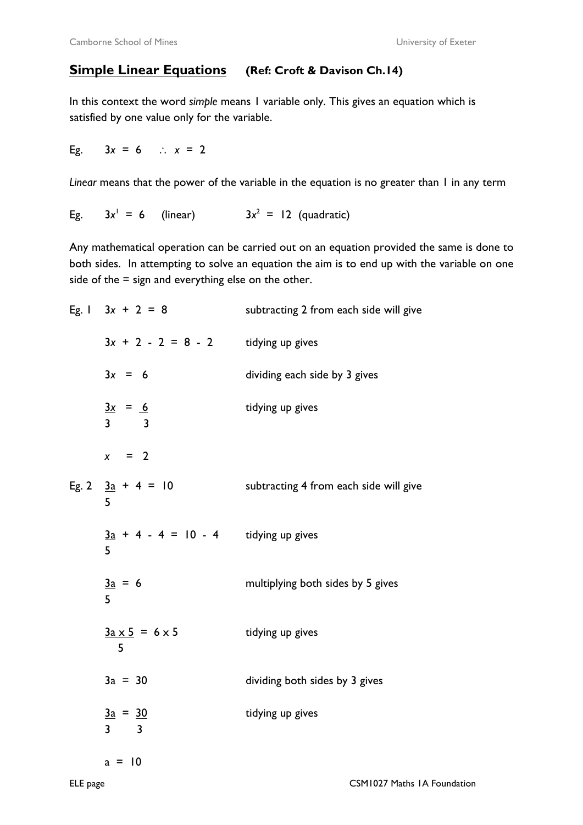## **Simple Linear Equations (Ref: Croft & Davison Ch.14)**

In this context the word *simple* means 1 variable only. This gives an equation which is satisfied by one value only for the variable.

Eg. 3*x* = 6 ∴ *x* = 2

*Linear* means that the power of the variable in the equation is no greater than 1 in any term

Eg. 3*x*  $3x^1 = 6$  = 6 (linear) 3*x*  $^2$  = 12 (quadratic)

Any mathematical operation can be carried out on an equation provided the same is done to both sides. In attempting to solve an equation the aim is to end up with the variable on one side of the  $=$  sign and everything else on the other.

| Eg. 1 $3x + 2 = 8$                                              | subtracting 2 from each side will give |
|-----------------------------------------------------------------|----------------------------------------|
| $3x + 2 - 2 = 8 - 2$ tidying up gives                           |                                        |
| $3x = 6$                                                        | dividing each side by 3 gives          |
| $\frac{3x}{ } = 6$<br>$\overline{3}$<br>$\overline{\mathbf{3}}$ | tidying up gives                       |
| $x = 2$                                                         |                                        |
| Eg. 2 $3a + 4 = 10$<br>5                                        | subtracting 4 from each side will give |
| $\frac{3a}{3} + 4 - 4 = 10 - 4$ tidying up gives<br>5           |                                        |
| $\frac{3a}{ } = 6$<br>5                                         | multiplying both sides by 5 gives      |
| $3a \times 5 = 6 \times 5$<br>5                                 | tidying up gives                       |
| $3a = 30$                                                       | dividing both sides by 3 gives         |
| $\frac{3a}{ } = \frac{30}{ }$<br>$3 \overline{3}$               | tidying up gives                       |
| $a = 10$                                                        |                                        |
|                                                                 |                                        |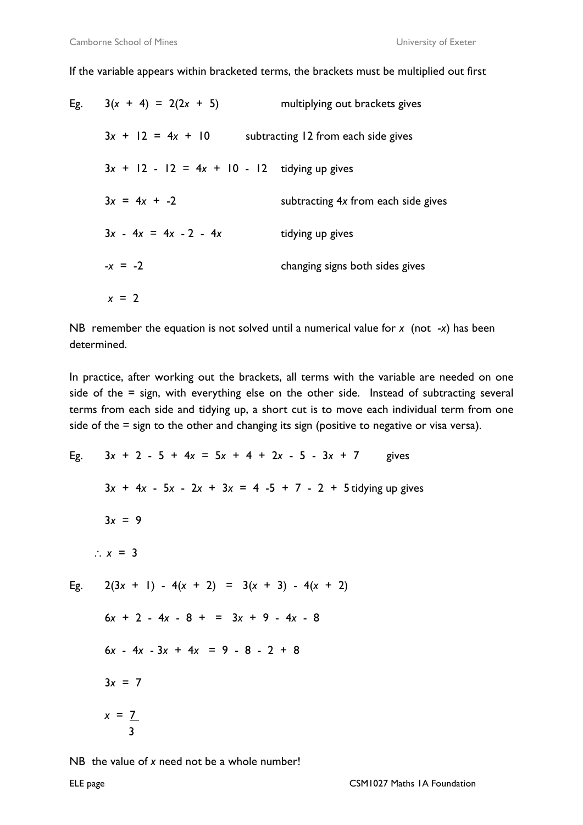If the variable appears within bracketed terms, the brackets must be multiplied out first

| Eg. I | $3(x + 4) = 2(2x + 5)$                         | multiplying out brackets gives      |
|-------|------------------------------------------------|-------------------------------------|
|       | $3x + 12 = 4x + 10$                            | subtracting 12 from each side gives |
|       | $3x + 12 - 12 = 4x + 10 - 12$ tidying up gives |                                     |
|       | $3x = 4x + -2$                                 | subtracting 4x from each side gives |
|       | $3x - 4x = 4x - 2 - 4x$                        | tidying up gives                    |
|       | $-x = -2$                                      | changing signs both sides gives     |
|       | $x = 2$                                        |                                     |

NB remember the equation is not solved until a numerical value for *x* (not -*x*) has been determined.

In practice, after working out the brackets, all terms with the variable are needed on one side of the = sign, with everything else on the other side. Instead of subtracting several terms from each side and tidying up, a short cut is to move each individual term from one side of the = sign to the other and changing its sign (positive to negative or visa versa).

```
Eg. 3x + 2 - 5 + 4x = 5x + 4 + 2x - 5 - 3x + 7 gives
     3x + 4x - 5x - 2x + 3x = 4 - 5 + 7 - 2 + 5 tidying up gives
     3x = 9∴ x = 3 
Eg. 2(3x + 1) - 4(x + 2) = 3(x + 3) - 4(x + 2) 6x + 2 - 4x - 8 + = 3x + 9 - 4x - 8 
      6x - 4x - 3x + 4x = 9 - 8 - 2 + 8 
     3x = 7x = 7 3
```
NB the value of *x* need not be a whole number!